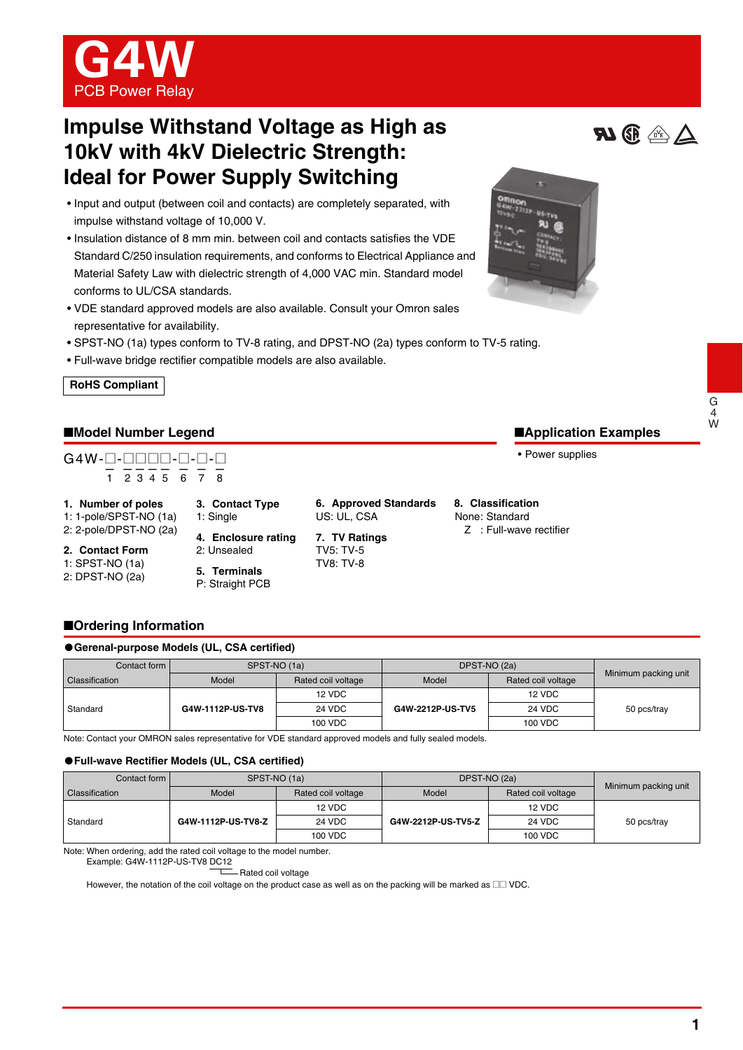

# **Impulse Withstand Voltage as High as 10kV with 4kV Dielectric Strength: Ideal for Power Supply Switching**

- Input and output (between coil and contacts) are completely separated, with impulse withstand voltage of 10,000 V.
- Insulation distance of 8 mm min. between coil and contacts satisfies the VDE Standard C/250 insulation requirements, and conforms to Electrical Appliance and Material Safety Law with dielectric strength of 4,000 VAC min. Standard model conforms to UL/CSA standards.
- VDE standard approved models are also available. Consult your Omron sales representative for availability.
- SPST-NO (1a) types conform to TV-8 rating, and DPST-NO (2a) types conform to TV-5 rating.
- Full-wave bridge rectifier compatible models are also available.



### ■**Model Number Legend**

# G4W-@-@@@@-@-@-@ — ———— — — — 1 2345 6 7 8

- **1. Number of poles** 1: 1-pole/SPST-NO (1a)
- 2: 2-pole/DPST-NO (2a)
- **2. Contact Form**
- 1: SPST-NO (1a)
- 2: DPST-NO (2a)
- **4. Enclosure rating** 2: Unsealed

**3. Contact Type**

1: Single

- **6. Approved Standards** US: UL, CSA
- **7. TV Ratings** TV5: TV-5 TV8: TV-8

**8. Classification** None: Standard

Z : Full-wave rectifier



## ■**Ordering Information**

#### ●**Gerenal-purpose Models (UL, CSA certified)**

| Contact form   | SPST-NO (1a)     |                    | DPST-NO (2a)     |                    |                      |
|----------------|------------------|--------------------|------------------|--------------------|----------------------|
| Classification | Model            | Rated coil voltage | Model            | Rated coil voltage | Minimum packing unit |
|                |                  | 12 VDC             |                  | 12 VDC             | 50 pcs/tray          |
| Standard       | G4W-1112P-US-TV8 | 24 VDC             | G4W-2212P-US-TV5 | <b>24 VDC</b>      |                      |
|                |                  | 100 VDC            |                  | 100 VDC            |                      |

Note: Contact your OMRON sales representative for VDE standard approved models and fully sealed models.

#### ●**Full-wave Rectifier Models (UL, CSA certified)**

| Contact form I | SPST-NO (1a)                |         | DPST-NO (2a)       |                    |                      |  |
|----------------|-----------------------------|---------|--------------------|--------------------|----------------------|--|
| Classification | Model<br>Rated coil voltage |         | Model              | Rated coil voltage | Minimum packing unit |  |
|                |                             | 12 VDC  |                    | 12 VDC             | 50 pcs/tray          |  |
| Standard       | G4W-1112P-US-TV8-Z          | 24 VDC  | G4W-2212P-US-TV5-Z | 24 VDC             |                      |  |
|                |                             | 100 VDC |                    | 100 VDC            |                      |  |

Note: When ordering, add the rated coil voltage to the model number.

Rated coil voltage

However, the notation of the coil voltage on the product case as well as on the packing will be marked as  $\square \square$  VDC.







■**Application Examples**

• Power supplies

Example: G4W-1112P-US-TV8 DC12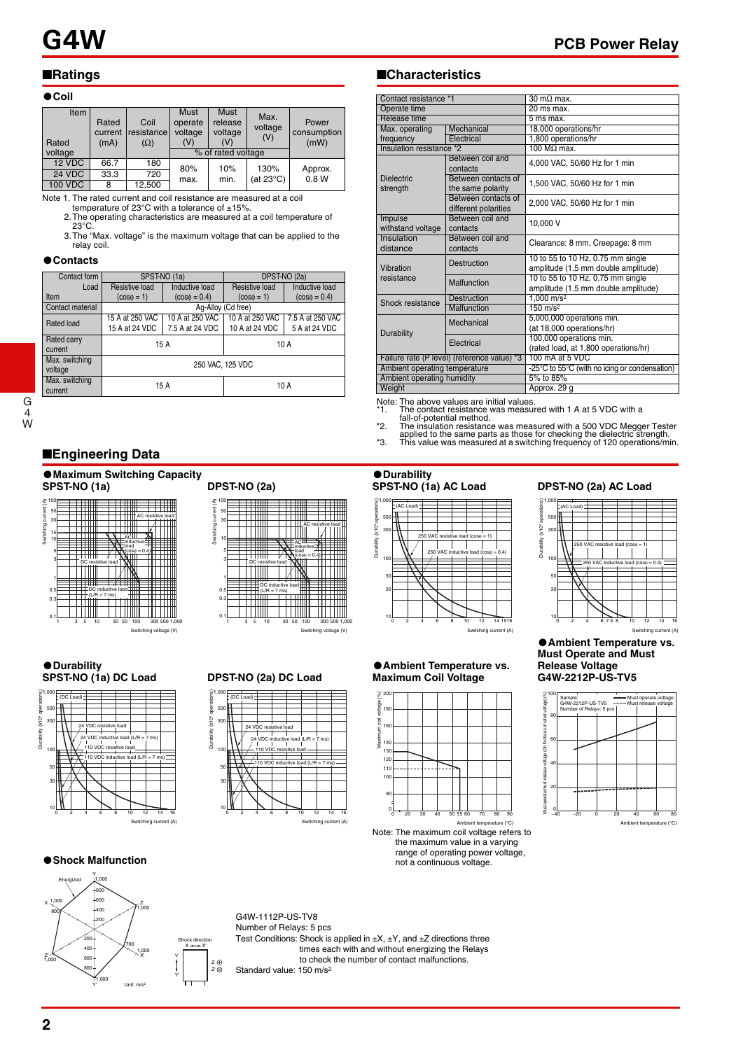18,000 operations/hr

4,000 VAC, 50/60 Hz for 1 min

2,000 VAC, 50/60 Hz for 1 min

Clearance: 8 mm, Creepage: 8 mm

amplitude (1.5 mm double amplitude)

amplitude  $(1.5 \text{ mm}$  double amplitude)<br> $1,000 \text{ m/s}^2$ 

(rated load, at 1,800 operations/hr)

(at 18,000 operations/hr)

Electrical 1,800 operations/hr<br>
Ce<sup>\*2</sup> 100 MO max

between contacts of  $\begin{bmatrix} 1,500 \text{ VAC}, 50/60 \text{ Hz} \end{bmatrix}$  for 1 min

Destruction 10 to 55 to 10 Hz, 0.75 mm single

Malfunction 10 to 55 to 10 Hz, 0.75 mm single

Approx. 29 g

Mechanical 5,000,000 operations min.

Electrical 100,000 operations min.

Ambient operating temperature -25°C to 55°C (with no icing or condensation)<br>Ambient operating humidity 5% to 85%

# ■**Ratings**

#### ●**Coil**

| Item<br>Rated  | Rated<br>current<br>(mA) | Coil<br>resistance<br>$(\Omega)$ | <b>Must</b><br>operate<br>voltage<br>(V) | Must<br>release<br>voltage<br>(V) | Max.<br>voltage<br>(V) | Power<br>consumption<br>(mW) |
|----------------|--------------------------|----------------------------------|------------------------------------------|-----------------------------------|------------------------|------------------------------|
| voltage        |                          |                                  |                                          | % of rated voltage                |                        |                              |
| 12 VDC         | 66.7                     | 180                              | 80%                                      | 10%                               | 130%                   |                              |
| 24 VDC         | 33.3                     | 720                              | max.                                     | min.                              | (at 23°C)              | Approx.<br>0.8W              |
| <b>100 VDC</b> | 8                        | 12,500                           |                                          |                                   |                        |                              |

Note 1. The rated current and coil resistance are measured at a coil temperature of 23°C with a tolerance of ±15%.

 2.The operating characteristics are measured at a coil temperature of 23°C.

 3.The "Max. voltage" is the maximum voltage that can be applied to the relay coil.

#### ●**Contacts**

| Contact form     |                    | SPST-NO (1a)      | DPST-NO (2a)    |                   |  |  |
|------------------|--------------------|-------------------|-----------------|-------------------|--|--|
| Load             | Resistive load     | Inductive load    | Resistive load  | Inductive load    |  |  |
| Item             | $(cos\phi = 1)$    | $(cos\phi = 0.4)$ | $(cos\phi = 1)$ | $(cos\phi = 0.4)$ |  |  |
| Contact material | Ag-Alloy (Cd free) |                   |                 |                   |  |  |
| Rated load       | 15 A at 250 VAC    | 10 A at 250 VAC   | 10 A at 250 VAC | 7.5 A at 250 VAC  |  |  |
|                  | 15 A at 24 VDC     | 7.5 A at 24 VDC   | 10 A at 24 VDC  | 5 A at 24 VDC     |  |  |
| Rated carry      |                    | 15 A              | 10 A            |                   |  |  |
| current          |                    |                   |                 |                   |  |  |
| Max. switching   |                    |                   |                 |                   |  |  |
| voltage          | 250 VAC, 125 VDC   |                   |                 |                   |  |  |
| Max. switching   |                    | 15 A              | 10 A            |                   |  |  |
| current          |                    |                   |                 |                   |  |  |

G 4 W

# ■**Engineering Data**

# ●**Maximum Switching Capacity**



●**Durability**

(DC Load)

1,000 500 300

> 100 50 30

Durability (x10

4 operations)

# 100 Switching current (A)

**SPST-NO (1a) DPST-NO (2a)**



Switching voltage (V)

## **SPST-NO (1a) DC Load DPST-NO (2a) DC Load**



# 200

■**Characteristics**

Release time<br>Max. operating | Mechanica

Max. operating frequency

Dielectric strength

Impulse withstand voltage

Insulation distance

Vibration resistance

**Durability** 

1,000 500 300

Durability (x10<sup>4</sup> operations)

(AC Load)

100 50 30

Insulation resistance \*2

Contact resistance \*1  $30 \text{ m}\Omega$  max.<br>Operate time 20 ms max. Operate time 20 ms max.<br>
Release time 5 ms max.

Between coil and

Between contacts of

Between contacts of<br>different polarities

Between coil and<br>contacts

Between coil and

Between coil and<br>contacts

Shock resistance Destruction 1,000 m/s<sup>2</sup><br>Malfunction 150 m/s<sup>2</sup> Malfunction



Note: The maximum coil voltage refers to the maximum value in a varying **■ Shock Malfunction**<br>■**Shock Malfunction** not a continuous voltage, not a continuous voltage.

#### **DPST-NO (2a) AC Load**



●**Ambient Temperature vs. Must Operate and Must Release Voltage G4W-2212P-US-TV5**





 $10\frac{11}{2}$   $\frac{1}{4}$   $\frac{1}{6}$   $\frac{1}{8}$   $\frac{1}{10}$   $\frac{1}{12}$   $\frac{1}{14}$   $\frac{1}{16}$ 

24 VDC inductive load (L/R = 7 ms) 24 VDC resistive load

110 VDC resistive load

110 VDC inductive load ( $L/R = 7$  ms)

 $nt(A)$ 

Z

Shock direction

X'

X

Y

Y'

Z'

G4W-1112P-US-TV8 Number of Relays: 5 pcs Test Conditions: Shock is applied in  $\pm X$ ,  $\pm Y$ , and  $\pm Z$  directions three times each with and without energizing the Relays to check the number of contact malfunctions. Standard value: 150 m/s2

| Load):         |                                       |        |    |    |          |  |
|----------------|---------------------------------------|--------|----|----|----------|--|
|                |                                       |        |    |    |          |  |
|                |                                       |        |    |    |          |  |
|                |                                       |        |    |    |          |  |
|                | 24 VDC resistive load                 |        |    |    |          |  |
|                | 24 VDC inductive load (L/R = 7 ms)    |        |    |    |          |  |
|                |                                       |        |    |    |          |  |
|                | 110 VDC resistive load-               |        |    |    |          |  |
|                | 110 VDC inductive load (L/R = $7$ ms) |        |    |    |          |  |
|                |                                       |        |    |    |          |  |
|                |                                       |        |    |    |          |  |
|                |                                       |        |    |    |          |  |
|                |                                       |        |    |    |          |  |
|                |                                       |        |    |    |          |  |
| $\overline{2}$ |                                       | 6<br>8 | 10 | 12 | 16<br>14 |  |

# ●**Ambient Temperature vs. Maximum Coil Voltage**

Note: The above values are initial values.<br>\*1. The contact resistance was measu

250 VAC resistive load (cosφ = 1) 250 VAC inductive load (cose = 0.4)

Failure rate (P level) (reference value) \*3

Ambient operating humidity<br>Weight

●**Durability**

The contact resistance was measured with 1 A at 5 VDC with a fall-of-potential method. ally the insulation resistance was measured with a 500 VDC Megger Tester<br>
2. The insulation resistance was measured with a 500 VDC Megger Tester<br>
3. This value was measured at a switching frequency of 120 operations/min.

> $\frac{1}{14}$  1516 hing c

| Must-operate/must-release voltage (On the basis of rated voltage) [%]<br>Lo B<br>Must operate<br>Sample:<br>Must release<br>G4W-2212P-US-TV5<br>Number of Relays: 5 pcs<br>$-20$<br>20<br>6<br>40<br>$\overline{0}$<br>40<br>.   . |  |  |  |  |
|------------------------------------------------------------------------------------------------------------------------------------------------------------------------------------------------------------------------------------|--|--|--|--|
|                                                                                                                                                                                                                                    |  |  |  |  |
|                                                                                                                                                                                                                                    |  |  |  |  |
|                                                                                                                                                                                                                                    |  |  |  |  |
|                                                                                                                                                                                                                                    |  |  |  |  |
|                                                                                                                                                                                                                                    |  |  |  |  |
|                                                                                                                                                                                                                                    |  |  |  |  |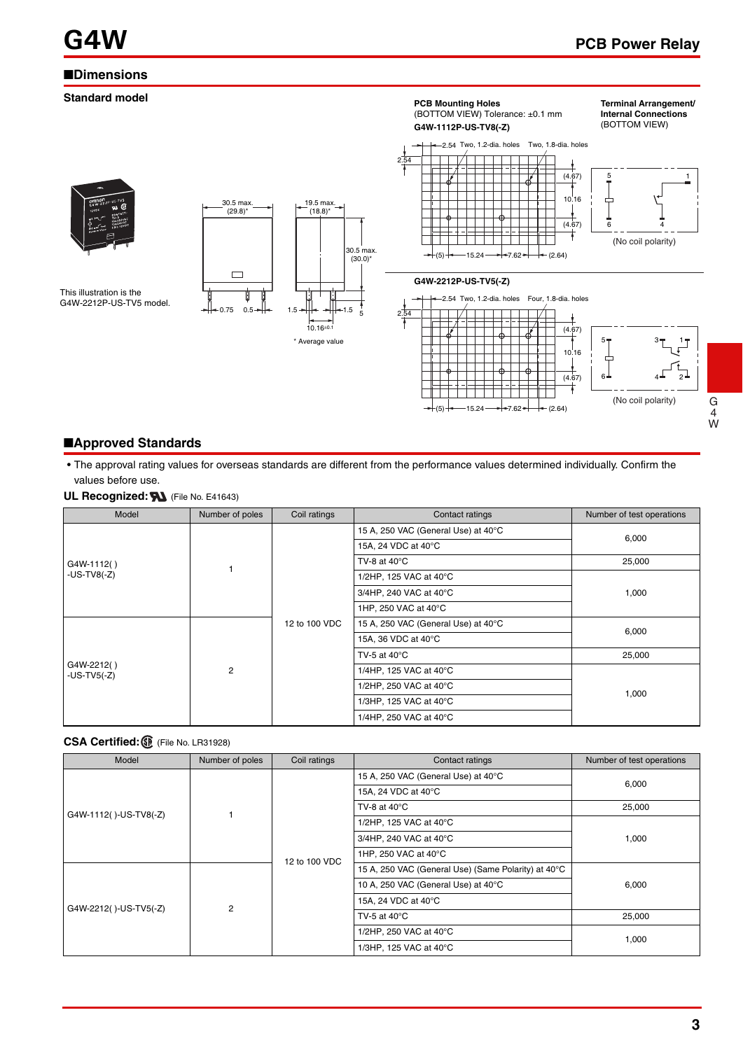# ■**Dimensions**



■**Approved Standards**

• The approval rating values for overseas standards are different from the performance values determined individually. Confirm the values before use.

**UL Recognized: N** (File No. E41643)

| Model                       | Number of poles | Coil ratings  | Contact ratings                     | Number of test operations |
|-----------------------------|-----------------|---------------|-------------------------------------|---------------------------|
|                             |                 | 12 to 100 VDC | 15 A, 250 VAC (General Use) at 40°C |                           |
|                             |                 |               | 15A, 24 VDC at 40°C                 | 6,000                     |
| G4W-1112()                  |                 |               | TV-8 at $40^{\circ}$ C              | 25,000                    |
| $-US-TV8(-Z)$               |                 |               | 1/2HP, 125 VAC at 40°C              |                           |
|                             |                 |               | 3/4HP, 240 VAC at 40°C              | 1,000                     |
|                             |                 |               | 1HP, 250 VAC at 40°C                |                           |
|                             | $\overline{2}$  |               | 15 A, 250 VAC (General Use) at 40°C |                           |
|                             |                 |               | 15A, 36 VDC at 40°C                 | 6,000                     |
|                             |                 |               | TV-5 at $40^{\circ}$ C              | 25,000                    |
| G4W-2212()<br>$-US-TV5(-Z)$ |                 |               | 1/4HP, 125 VAC at 40°C              |                           |
|                             |                 |               | 1/2HP, 250 VAC at 40°C              |                           |
|                             |                 |               | 1/3HP, 125 VAC at 40°C              | 1,000                     |
|                             |                 |               | 1/4HP, 250 VAC at 40°C              |                           |

#### **CSA Certified:** (File No. LR31928)

| Model                 | Number of poles | Coil ratings  | Contact ratings                                     | Number of test operations |
|-----------------------|-----------------|---------------|-----------------------------------------------------|---------------------------|
|                       |                 | 12 to 100 VDC | 15 A, 250 VAC (General Use) at 40°C                 | 6,000                     |
|                       |                 |               | 15A, 24 VDC at 40°C                                 |                           |
|                       |                 |               | TV-8 at $40^{\circ}$ C                              | 25,000                    |
| G4W-1112()-US-TV8(-Z) |                 |               | 1/2HP, 125 VAC at 40°C                              |                           |
| G4W-2212()-US-TV5(-Z) |                 |               | 3/4HP, 240 VAC at 40°C                              | 1,000                     |
|                       |                 |               | 1HP, 250 VAC at 40°C                                |                           |
|                       | 2               |               | 15 A, 250 VAC (General Use) (Same Polarity) at 40°C |                           |
|                       |                 |               | 10 A, 250 VAC (General Use) at 40°C                 | 6,000                     |
|                       |                 |               | 15A, 24 VDC at 40°C                                 |                           |
|                       |                 |               | TV-5 at $40^{\circ}$ C                              | 25,000                    |
|                       |                 |               | 1/2HP, 250 VAC at 40°C                              |                           |
|                       |                 |               | 1/3HP, 125 VAC at 40°C                              | 1,000                     |